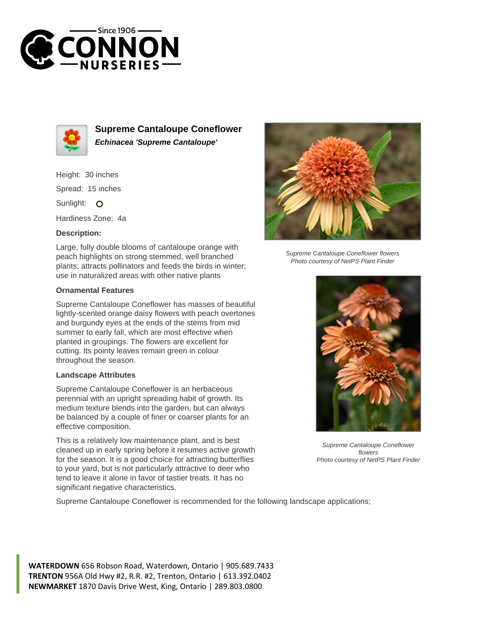



**Supreme Cantaloupe Coneflower Echinacea 'Supreme Cantaloupe'**

Height: 30 inches Spread: 15 inches

Sunlight: O

Hardiness Zone: 4a

## **Description:**

Large, fully double blooms of cantaloupe orange with peach highlights on strong stemmed, well branched plants; attracts pollinators and feeds the birds in winter; use in naturalized areas with other native plants

## **Ornamental Features**

Supreme Cantaloupe Coneflower has masses of beautiful lightly-scented orange daisy flowers with peach overtones and burgundy eyes at the ends of the stems from mid summer to early fall, which are most effective when planted in groupings. The flowers are excellent for cutting. Its pointy leaves remain green in colour throughout the season.

## **Landscape Attributes**

Supreme Cantaloupe Coneflower is an herbaceous perennial with an upright spreading habit of growth. Its medium texture blends into the garden, but can always be balanced by a couple of finer or coarser plants for an effective composition.

This is a relatively low maintenance plant, and is best cleaned up in early spring before it resumes active growth for the season. It is a good choice for attracting butterflies to your yard, but is not particularly attractive to deer who tend to leave it alone in favor of tastier treats. It has no significant negative characteristics.



Supreme Cantaloupe Coneflower flowers Photo courtesy of NetPS Plant Finder



Supreme Cantaloupe Coneflower flowers Photo courtesy of NetPS Plant Finder

Supreme Cantaloupe Coneflower is recommended for the following landscape applications;

**WATERDOWN** 656 Robson Road, Waterdown, Ontario | 905.689.7433 **TRENTON** 956A Old Hwy #2, R.R. #2, Trenton, Ontario | 613.392.0402 **NEWMARKET** 1870 Davis Drive West, King, Ontario | 289.803.0800